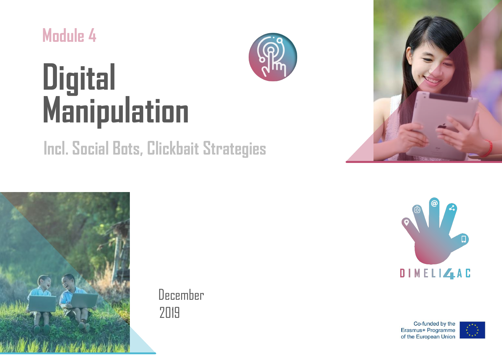**Module 4**



# **Digital Manipulation**

## **Incl. Social Bots, Clickbait Strategies**



December 2019





Co-funded by the Erasmus+ Programme of the European Union

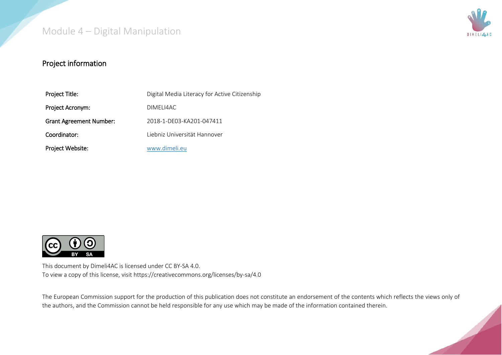

#### Project information

| Project Title:                 | Digital Media Literacy for Active Citizenship |
|--------------------------------|-----------------------------------------------|
| Project Acronym:               | DIMELI4AC                                     |
| <b>Grant Agreement Number:</b> | 2018-1-DE03-KA201-047411                      |
| Coordinator:                   | Liebniz Universität Hannover                  |
| Project Website:               | www.dimeli.eu                                 |



This document by Dimeli4AC is licensed under CC BY-SA 4.0. To view a copy of this license, visit https://creativecommons.org/licenses/by-sa/4.0

The European Commission support for the production of this publication does not constitute an endorsement of the contents which reflects the views only of the authors, and the Commission cannot be held responsible for any use which may be made of the information contained therein.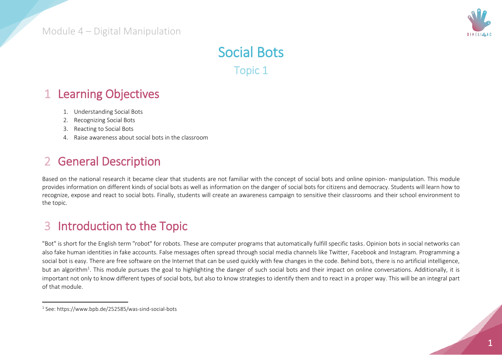

## Social Bots Topic 1

## 1 Learning Objectives

- 1. Understanding Social Bots
- 2. Recognizing Social Bots
- 3. Reacting to Social Bots
- 4. Raise awareness about social bots in the classroom

## 2 General Description

Based on the national research it became clear that students are not familiar with the concept of social bots and online opinion- manipulation. This module provides information on different kinds of social bots as well as information on the danger of social bots for citizens and democracy. Students will learn how to recognize, expose and react to social bots. Finally, students will create an awareness campaign to sensitive their classrooms and their school environment to the topic.

## 3 Introduction to the Topic

"Bot" is short for the English term "robot" for robots. These are computer programs that automatically fulfill specific tasks. Opinion bots in social networks can also fake human identities in fake accounts. False messages often spread through social media channels like Twitter, Facebook and Instagram. Programming a social bot is easy. There are free software on the Internet that can be used quickly with few changes in the code. Behind bots, there is no artificial intelligence, but an algorithm<sup>1</sup>. This module pursues the goal to highlighting the danger of such social bots and their impact on online conversations. Additionally, it is important not only to know different types of social bots, but also to know strategies to identify them and to react in a proper way. This will be an integral part of that module.

 $\ddot{\phantom{a}}$ 

<sup>1</sup> See: https://www.bpb.de/252585/was-sind-social-bots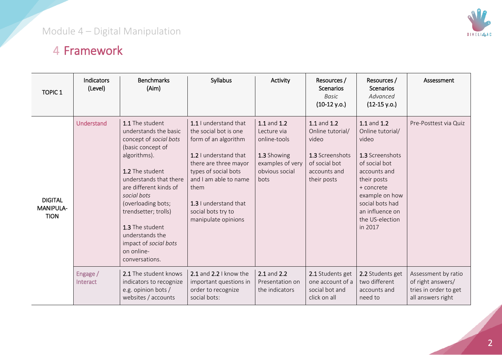

## 4 Framework

| <b>TOPIC 1</b>                             | <b>Indicators</b><br>(Level) | <b>Benchmarks</b><br>(Aim)                                                                                                                                                                                                                                                                                                                 | Syllabus                                                                                                                                                                                                                                                | Activity                                                                                                | Resources /<br>Scenarios<br><b>Basic</b><br>$(10-12 y.o.)$                                                  | Resources /<br><b>Scenarios</b><br>Advanced<br>$(12-15 y.o.)$                                                                                                                                                   | Assessment                                                                             |
|--------------------------------------------|------------------------------|--------------------------------------------------------------------------------------------------------------------------------------------------------------------------------------------------------------------------------------------------------------------------------------------------------------------------------------------|---------------------------------------------------------------------------------------------------------------------------------------------------------------------------------------------------------------------------------------------------------|---------------------------------------------------------------------------------------------------------|-------------------------------------------------------------------------------------------------------------|-----------------------------------------------------------------------------------------------------------------------------------------------------------------------------------------------------------------|----------------------------------------------------------------------------------------|
| <b>DIGITAL</b><br>MANIPULA-<br><b>TION</b> | Understand                   | 1.1 The student<br>understands the basic<br>concept of social bots<br>(basic concept of<br>algorithms).<br>1.2 The student<br>understands that there<br>are different kinds of<br>social bots<br>(overloading bots;<br>trendsetter; trolls)<br>1.3 The student<br>understands the<br>impact of social bots<br>on online-<br>conversations. | 1.1 I understand that<br>the social bot is one<br>form of an algorithm<br>1.2 I understand that<br>there are three mayor<br>types of social bots<br>and I am able to name<br>them<br>1.3 I understand that<br>social bots try to<br>manipulate opinions | 1.1 and 1.2<br>Lecture via<br>online-tools<br>1.3 Showing<br>examples of very<br>obvious social<br>bots | 1.1 and 1.2<br>Online tutorial/<br>video<br>1.3 Screenshots<br>of social bot<br>accounts and<br>their posts | 1.1 and 1.2<br>Online tutorial/<br>video<br>1.3 Screenshots<br>of social bot<br>accounts and<br>their posts<br>+ concrete<br>example on how<br>social bots had<br>an influence on<br>the US-election<br>in 2017 | Pre-Posttest via Quiz                                                                  |
|                                            | Engage /<br>Interact         | 2.1 The student knows<br>indicators to recognize<br>e.g. opinion bots /<br>websites / accounts                                                                                                                                                                                                                                             | 2.1 and $2.2$ I know the<br>important questions in<br>order to recognize<br>social bots:                                                                                                                                                                | 2.1 and 2.2<br>Presentation on<br>the indicators                                                        | 2.1 Students get<br>one account of a<br>social bot and<br>click on all                                      | 2.2 Students get<br>two different<br>accounts and<br>need to                                                                                                                                                    | Assessment by ratio<br>of right answers/<br>tries in order to get<br>all answers right |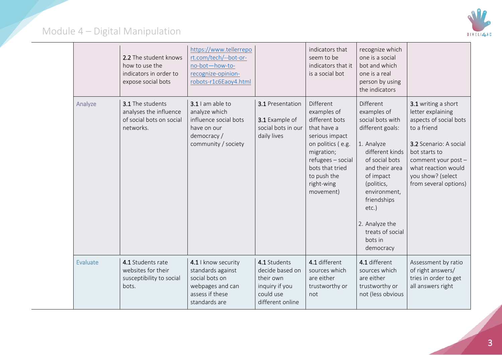

|          | 2.2 The student knows<br>how to use the<br>indicators in order to<br>expose social bots | https://www.tellerrepo<br>rt.com/tech/--bot-or-<br>no-bot-how-to-<br>recognize-opinion-<br>robots-r1c6Eaoy4.html   |                                                                                                 | indicators that<br>seem to be<br>indicators that it<br>is a social bot                                                                                                                           | recognize which<br>one is a social<br>bot and which<br>one is a real<br>person by using<br>the indicators                                                                                                                                                                        |                                                                                                                                                                                                                          |
|----------|-----------------------------------------------------------------------------------------|--------------------------------------------------------------------------------------------------------------------|-------------------------------------------------------------------------------------------------|--------------------------------------------------------------------------------------------------------------------------------------------------------------------------------------------------|----------------------------------------------------------------------------------------------------------------------------------------------------------------------------------------------------------------------------------------------------------------------------------|--------------------------------------------------------------------------------------------------------------------------------------------------------------------------------------------------------------------------|
| Analyze  | 3.1 The students<br>analyses the influence<br>of social bots on social<br>networks.     | 3.1 I am able to<br>analyze which<br>influence social bots<br>have on our<br>democracy /<br>community / society    | 3.1 Presentation<br>3.1 Example of<br>social bots in our<br>daily lives                         | Different<br>examples of<br>different bots<br>that have a<br>serious impact<br>on politics (e.g.<br>migration;<br>refugees - social<br>bots that tried<br>to push the<br>right-wing<br>movement) | <b>Different</b><br>examples of<br>social bots with<br>different goals:<br>1. Analyze<br>different kinds<br>of social bots<br>and their area<br>of impact<br>(politics,<br>environment,<br>friendships<br>$etc.$ )<br>2. Analyze the<br>treats of social<br>bots in<br>democracy | 3.1 writing a short<br>letter explaining<br>aspects of social bots<br>to a friend<br>3.2 Scenario: A social<br>bot starts to<br>comment your post -<br>what reaction would<br>you show? (select<br>from several options) |
| Evaluate | 4.1 Students rate<br>websites for their<br>susceptibility to social<br>bots.            | 4.1 I know security<br>standards against<br>social bots on<br>webpages and can<br>assess if these<br>standards are | 4.1 Students<br>decide based on<br>their own<br>inquiry if you<br>could use<br>different online | 4.1 different<br>sources which<br>are either<br>trustworthy or<br>not                                                                                                                            | 4.1 different<br>sources which<br>are either<br>trustworthy or<br>not (less obvious                                                                                                                                                                                              | Assessment by ratio<br>of right answers/<br>tries in order to get<br>all answers right                                                                                                                                   |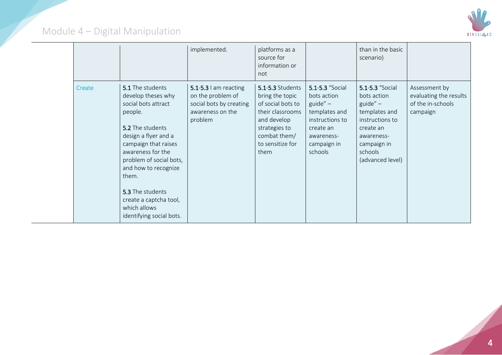

|        |                                                                                                                                                                                                                                                                                                                         | implemented.                                                                                             | platforms as a<br>source for<br>information or<br>not                                                                                                           |                                                                                                                                       | than in the basic<br>scenario)                                                                                                                             |                                                                          |
|--------|-------------------------------------------------------------------------------------------------------------------------------------------------------------------------------------------------------------------------------------------------------------------------------------------------------------------------|----------------------------------------------------------------------------------------------------------|-----------------------------------------------------------------------------------------------------------------------------------------------------------------|---------------------------------------------------------------------------------------------------------------------------------------|------------------------------------------------------------------------------------------------------------------------------------------------------------|--------------------------------------------------------------------------|
| Create | 5.1 The students<br>develop theses why<br>social bots attract<br>people.<br>5.2 The students<br>design a flyer and a<br>campaign that raises<br>awareness for the<br>problem of social bots,<br>and how to recognize<br>them.<br>5.3 The students<br>create a captcha tool,<br>which allows<br>identifying social bots. | $5.1 - 5.3$ I am reacting<br>on the problem of<br>social bots by creating<br>awareness on the<br>problem | <b>5.1-5.3 Students</b><br>bring the topic<br>of social bots to<br>their classrooms<br>and develop<br>strategies to<br>combat them/<br>to sensitize for<br>them | 5.1-5.3 "Social<br>bots action<br>guide" $-$<br>templates and<br>instructions to<br>create an<br>awareness-<br>campaign in<br>schools | 5.1-5.3 "Social<br>bots action<br>$guide'' -$<br>templates and<br>instructions to<br>create an<br>awareness-<br>campaign in<br>schools<br>(advanced level) | Assessment by<br>evaluating the results<br>of the in-schools<br>campaign |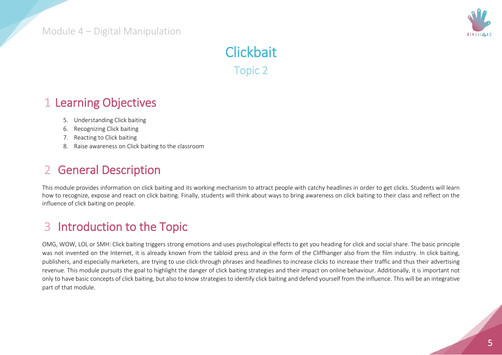

## **Clickbait** Topic 2

## 1 Learning Objectives

- 5. Understanding Click baiting
- 6. Recognizing Click baiting
- 7. Reacting to Click baiting
- 8. Raise awareness on Click baiting to the classroom

## 2 General Description

This module provides information on click baiting and its working mechanism to attract people with catchy headlines in order to get clicks. Students will learn how to recognize, expose and react on click baiting. Finally, students will think about ways to bring awareness on click baiting to their class and reflect on the influence of click baiting on people.

## 3 Introduction to the Topic

OMG, WOW, LOL or SMH: Click baiting triggers strong emotions and uses psychological effects to get you heading for click and social share. The basic principle was not invented on the Internet, it is already known from the tabloid press and in the form of the Cliffhanger also from the film industry. In click baiting, publishers, and especially marketers, are trying to use click-through phrases and headlines to increase clicks to increase their traffic and thus their advertising revenue. This module pursuits the goal to highlight the danger of click baiting strategies and their impact on online behaviour. Additionally, it is important not only to have basic concepts of click baiting, but also to know strategies to identify click baiting and defend yourself from the influence. This will be an integrative part of that module.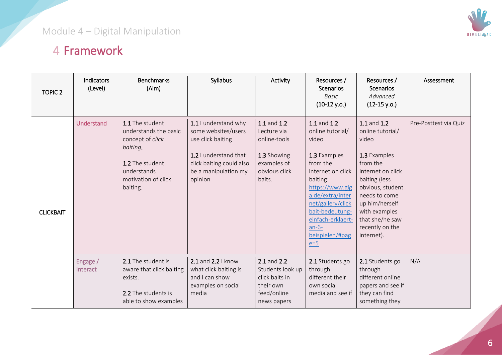

## 4 Framework

| <b>TOPIC 2</b>   | Indicators<br>(Level) | <b>Benchmarks</b><br>(Aim)                                                                                                                    | Syllabus                                                                                                                                                 | Activity                                                                                            | Resources /<br><b>Scenarios</b><br><b>Basic</b><br>$(10-12 y.o.)$                                                                                                                                                                                | Resources /<br><b>Scenarios</b><br>Advanced<br>$(12-15 y.o.)$                                                                                                                                                                          | Assessment            |
|------------------|-----------------------|-----------------------------------------------------------------------------------------------------------------------------------------------|----------------------------------------------------------------------------------------------------------------------------------------------------------|-----------------------------------------------------------------------------------------------------|--------------------------------------------------------------------------------------------------------------------------------------------------------------------------------------------------------------------------------------------------|----------------------------------------------------------------------------------------------------------------------------------------------------------------------------------------------------------------------------------------|-----------------------|
| <b>CLICKBAIT</b> | Understand            | 1.1 The student<br>understands the basic<br>concept of click<br>baiting.<br>1.2 The student<br>understands<br>motivation of click<br>baiting. | 1.1 I understand why<br>some websites/users<br>use click baiting<br>1.2 I understand that<br>click baiting could also<br>be a manipulation my<br>opinion | 1.1 and 1.2<br>Lecture via<br>online-tools<br>1.3 Showing<br>examples of<br>obvious click<br>baits. | 1.1 and 1.2<br>online tutorial/<br>video<br>1.3 Examples<br>from the<br>internet on click<br>baiting:<br>https://www.gig<br>a.de/extra/inter<br>net/gallery/click<br>bait-bedeutung-<br>einfach-erklaert-<br>$an-6-$<br>beispielen/#pag<br>$e=5$ | 1.1 and 1.2<br>online tutorial/<br>video<br>1.3 Examples<br>from the<br>internet on click<br>baiting (less<br>obvious, student<br>needs to come<br>up him/herself<br>with examples<br>that she/he saw<br>recently on the<br>internet). | Pre-Posttest via Quiz |
|                  | Engage /<br>Interact  | 2.1 The student is<br>aware that click baiting<br>exists.<br>2.2 The students is<br>able to show examples                                     | 2.1 and 2.2   know<br>what click baiting is<br>and I can show<br>examples on social<br>media                                                             | 2.1 and 2.2<br>Students look up<br>click baits in<br>their own<br>feed/online<br>news papers        | 2.1 Students go<br>through<br>different their<br>own social<br>media and see if                                                                                                                                                                  | 2.1 Students go<br>through<br>different online<br>papers and see if<br>they can find<br>something they                                                                                                                                 | N/A                   |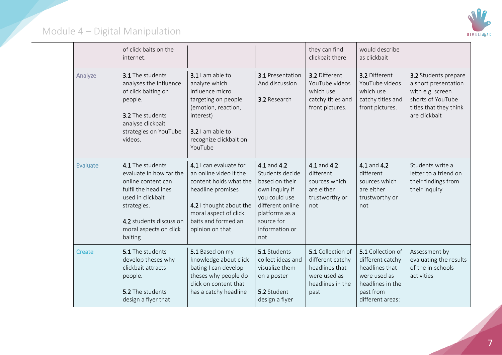

|          | of click baits on the<br>internet.                                                                                                                                                            |                                                                                                                                                                                               |                                                                                                                                                                  | they can find<br>clickbait there                                                                    | would describe<br>as clickbait                                                                                               |                                                                                                                                  |
|----------|-----------------------------------------------------------------------------------------------------------------------------------------------------------------------------------------------|-----------------------------------------------------------------------------------------------------------------------------------------------------------------------------------------------|------------------------------------------------------------------------------------------------------------------------------------------------------------------|-----------------------------------------------------------------------------------------------------|------------------------------------------------------------------------------------------------------------------------------|----------------------------------------------------------------------------------------------------------------------------------|
| Analyze  | <b>3.1</b> The students<br>analyses the influence<br>of click baiting on<br>people.<br>3.2 The students<br>analyse clickbait<br>strategies on YouTube<br>videos.                              | 3.1 I am able to<br>analyze which<br>influence micro<br>targeting on people<br>(emotion, reaction,<br>interest)<br>3.2 I am able to<br>recognize clickbait on<br>YouTube                      | <b>3.1</b> Presentation<br>And discussion<br>3.2 Research                                                                                                        | 3.2 Different<br>YouTube videos<br>which use<br>catchy titles and<br>front pictures.                | 3.2 Different<br>YouTube videos<br>which use<br>catchy titles and<br>front pictures.                                         | 3.2 Students prepare<br>a short presentation<br>with e.g. screen<br>shorts of YouTube<br>titles that they think<br>are clickbait |
| Evaluate | 4.1 The students<br>evaluate in how far the<br>online content can<br>fulfil the headlines<br>used in clickbait<br>strategies.<br>4.2 students discuss on<br>moral aspects on click<br>baiting | 4.1 I can evaluate for<br>an online video if the<br>content holds what the<br>headline promises<br>4.2 I thought about the<br>moral aspect of click<br>baits and formed an<br>opinion on that | 4.1 and 4.2<br>Students decide<br>based on their<br>own inquiry if<br>you could use<br>different online<br>platforms as a<br>source for<br>information or<br>not | 4.1 and 4.2<br>different<br>sources which<br>are either<br>trustworthy or<br>not                    | 4.1 and 4.2<br>different<br>sources which<br>are either<br>trustworthy or<br>not                                             | Students write a<br>letter to a friend on<br>their findings from<br>their inquiry                                                |
| Create   | 5.1 The students<br>develop theses why<br>clickbait attracts<br>people.<br>5.2 The students<br>design a flyer that                                                                            | 5.1 Based on my<br>knowledge about click<br>bating I can develop<br>theses why people do<br>click on content that<br>has a catchy headline                                                    | 5.1 Students<br>collect ideas and<br>visualize them<br>on a poster<br>5.2 Student<br>design a flyer                                                              | 5.1 Collection of<br>different catchy<br>headlines that<br>were used as<br>headlines in the<br>past | 5.1 Collection of<br>different catchy<br>headlines that<br>were used as<br>headlines in the<br>past from<br>different areas: | Assessment by<br>evaluating the results<br>of the in-schools<br>activities                                                       |